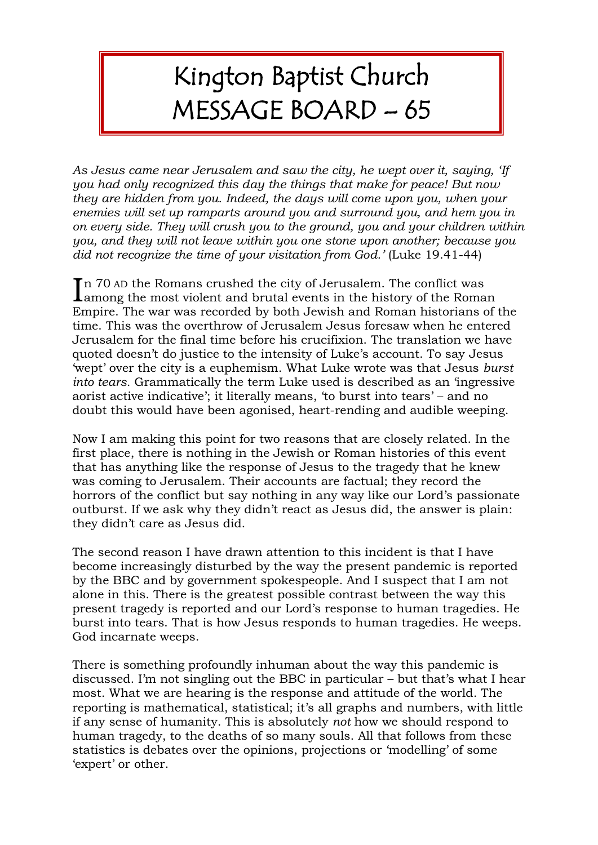## Kington Baptist Church MESSAGE BOARD – 65

*As Jesus came near Jerusalem and saw the city, he wept over it, saying, 'If you had only recognized this day the things that make for peace! But now they are hidden from you. Indeed, the days will come upon you, when your enemies will set up ramparts around you and surround you, and hem you in on every side. They will crush you to the ground, you and your children within you, and they will not leave within you one stone upon another; because you did not recognize the time of your visitation from God.'* (Luke 19.41-44)

n 70 AD the Romans crushed the city of Jerusalem. The conflict was In 70 AD the Romans crushed the city of Jerusalem. The conflict was<br>among the most violent and brutal events in the history of the Roman Empire. The war was recorded by both Jewish and Roman historians of the time. This was the overthrow of Jerusalem Jesus foresaw when he entered Jerusalem for the final time before his crucifixion. The translation we have quoted doesn't do justice to the intensity of Luke's account. To say Jesus 'wept' over the city is a euphemism. What Luke wrote was that Jesus *burst into tears.* Grammatically the term Luke used is described as an 'ingressive aorist active indicative'; it literally means, 'to burst into tears' – and no doubt this would have been agonised, heart-rending and audible weeping.

Now I am making this point for two reasons that are closely related. In the first place, there is nothing in the Jewish or Roman histories of this event that has anything like the response of Jesus to the tragedy that he knew was coming to Jerusalem. Their accounts are factual; they record the horrors of the conflict but say nothing in any way like our Lord's passionate outburst. If we ask why they didn't react as Jesus did, the answer is plain: they didn't care as Jesus did.

The second reason I have drawn attention to this incident is that I have become increasingly disturbed by the way the present pandemic is reported by the BBC and by government spokespeople. And I suspect that I am not alone in this. There is the greatest possible contrast between the way this present tragedy is reported and our Lord's response to human tragedies. He burst into tears. That is how Jesus responds to human tragedies. He weeps. God incarnate weeps.

There is something profoundly inhuman about the way this pandemic is discussed. I'm not singling out the BBC in particular – but that's what I hear most. What we are hearing is the response and attitude of the world. The reporting is mathematical, statistical; it's all graphs and numbers, with little if any sense of humanity. This is absolutely *not* how we should respond to human tragedy, to the deaths of so many souls. All that follows from these statistics is debates over the opinions, projections or 'modelling' of some 'expert' or other.